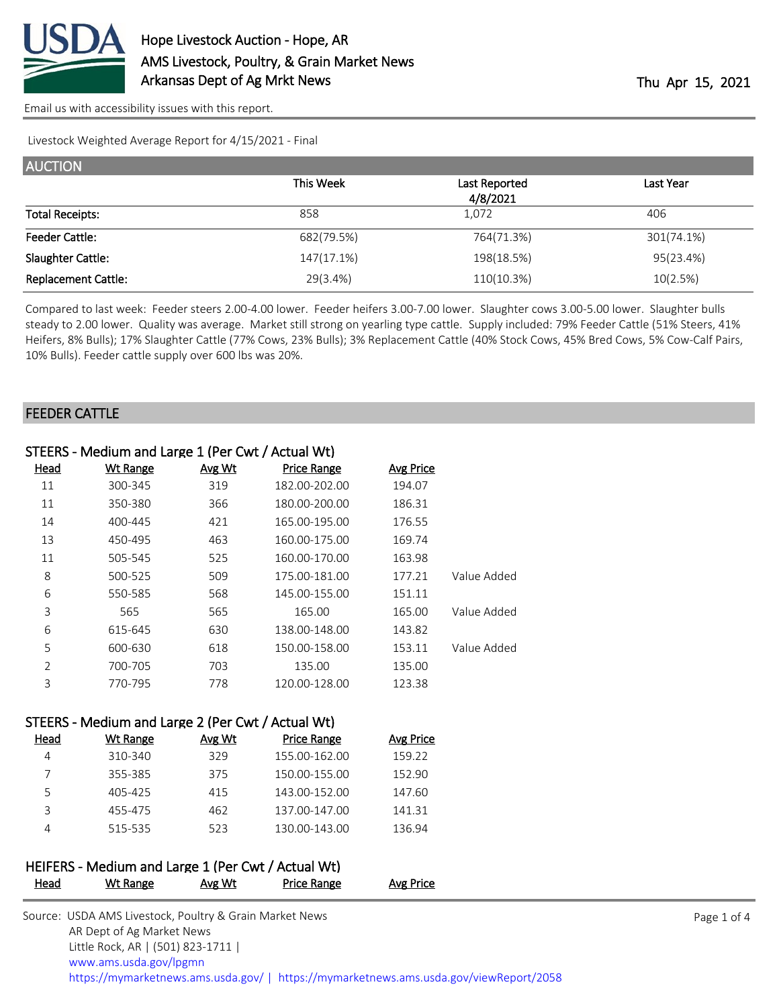

[Email us with accessibility issues with this report.](mailto:mars@ams.usda.gov?subject=508%20issue)

Livestock Weighted Average Report for 4/15/2021 - Final

| <b>AUCTION</b>             |            |               |            |
|----------------------------|------------|---------------|------------|
|                            | This Week  | Last Reported | Last Year  |
|                            |            | 4/8/2021      |            |
| <b>Total Receipts:</b>     | 858        | 1,072         | 406        |
| <b>Feeder Cattle:</b>      | 682(79.5%) | 764(71.3%)    | 301(74.1%) |
| Slaughter Cattle:          | 147(17.1%) | 198(18.5%)    | 95(23.4%)  |
| <b>Replacement Cattle:</b> | 29(3.4%)   | 110(10.3%)    | 10(2.5%)   |

Compared to last week: Feeder steers 2.00-4.00 lower. Feeder heifers 3.00-7.00 lower. Slaughter cows 3.00-5.00 lower. Slaughter bulls steady to 2.00 lower. Quality was average. Market still strong on yearling type cattle. Supply included: 79% Feeder Cattle (51% Steers, 41% Heifers, 8% Bulls); 17% Slaughter Cattle (77% Cows, 23% Bulls); 3% Replacement Cattle (40% Stock Cows, 45% Bred Cows, 5% Cow-Calf Pairs, 10% Bulls). Feeder cattle supply over 600 lbs was 20%.

### FEEDER CATTLE

|             | STEERS - Medium and Large 1 (Per Cwt / Actual Wt) |                    |        |                 |                |  |  |  |
|-------------|---------------------------------------------------|--------------------|--------|-----------------|----------------|--|--|--|
|             | <b>Avg Price</b>                                  | <b>Price Range</b> | Avg Wt | <b>Wt Range</b> | Head           |  |  |  |
|             | 194.07                                            | 182.00-202.00      | 319    | 300-345         | 11             |  |  |  |
|             | 186.31                                            | 180.00-200.00      | 366    | 350-380         | 11             |  |  |  |
|             | 176.55                                            | 165.00-195.00      | 421    | 400-445         | 14             |  |  |  |
|             | 169.74                                            | 160.00-175.00      | 463    | 450-495         | 13             |  |  |  |
|             | 163.98                                            | 160.00-170.00      | 525    | 505-545         | 11             |  |  |  |
| Value Added | 177.21                                            | 175.00-181.00      | 509    | 500-525         | 8              |  |  |  |
|             | 151.11                                            | 145.00-155.00      | 568    | 550-585         | 6              |  |  |  |
| Value Added | 165.00                                            | 165.00             | 565    | 565             | 3              |  |  |  |
|             | 143.82                                            | 138.00-148.00      | 630    | 615-645         | 6              |  |  |  |
| Value Added | 153.11                                            | 150.00-158.00      | 618    | 600-630         | 5              |  |  |  |
|             | 135.00                                            | 135.00             | 703    | 700-705         | $\overline{2}$ |  |  |  |
|             | 123.38                                            | 120.00-128.00      | 778    | 770-795         | 3              |  |  |  |

### STEERS - Medium and Large 2 (Per Cwt / Actual Wt)

| Head | Wt Range | Avg Wt | Price Range   | <b>Avg Price</b> |
|------|----------|--------|---------------|------------------|
|      | 310-340  | 329    | 155.00-162.00 | 159.22           |
|      | 355-385  | 375    | 150.00-155.00 | 152.90           |
| 5    | 405-425  | 415    | 143.00-152.00 | 147.60           |
|      | 455-475  | 462    | 137.00-147.00 | 141.31           |
|      | 515-535  | 523    | 130.00-143.00 | 136.94           |

### HEIFERS - Medium and Large 1 (Per Cwt / Actual Wt) Head Wt Range Avg Wt Price Range Avg Price

| Source: USDA AMS Livestock, Poultry & Grain Market News                                |
|----------------------------------------------------------------------------------------|
| AR Dept of Ag Market News                                                              |
| Little Rock, AR   (501) 823-1711                                                       |
| www.ams.usda.gov/lpgmn                                                                 |
| https://mymarketnews.ams.usda.gov/   https://mymarketnews.ams.usda.gov/viewReport/2058 |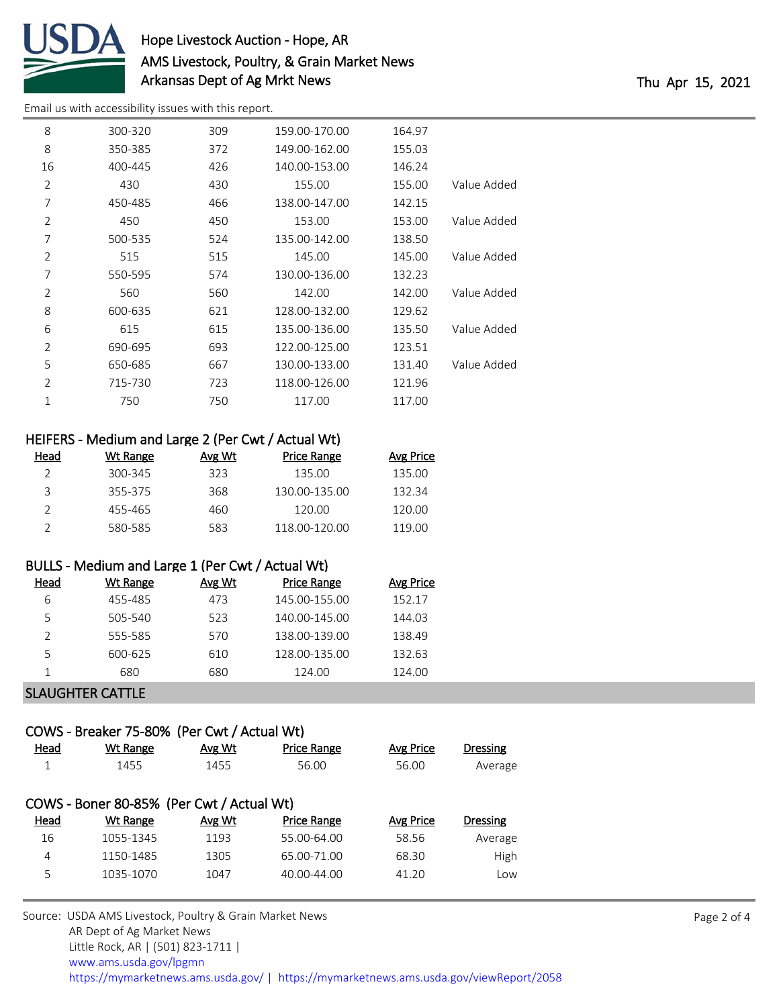

# Hope Livestock Auction - Hope, AR AMS Livestock, Poultry, & Grain Market News Arkansas Dept of Ag Mrkt News Thu Apr 15, 2021

[Email us with accessibility issues with this report.](mailto:mars@ams.usda.gov?subject=508%20issue)

| 8              | 300-320 | 309 | 159.00-170.00 | 164.97 |             |
|----------------|---------|-----|---------------|--------|-------------|
| 8              | 350-385 | 372 | 149.00-162.00 | 155.03 |             |
| 16             | 400-445 | 426 | 140.00-153.00 | 146.24 |             |
| $\overline{2}$ | 430     | 430 | 155.00        | 155.00 | Value Added |
| 7              | 450-485 | 466 | 138.00-147.00 | 142.15 |             |
| $\overline{2}$ | 450     | 450 | 153.00        | 153.00 | Value Added |
| 7              | 500-535 | 524 | 135.00-142.00 | 138.50 |             |
| $\overline{2}$ | 515     | 515 | 145.00        | 145.00 | Value Added |
| 7              | 550-595 | 574 | 130.00-136.00 | 132.23 |             |
| $\overline{2}$ | 560     | 560 | 142.00        | 142.00 | Value Added |
| 8              | 600-635 | 621 | 128.00-132.00 | 129.62 |             |
| 6              | 615     | 615 | 135.00-136.00 | 135.50 | Value Added |
| $\overline{2}$ | 690-695 | 693 | 122.00-125.00 | 123.51 |             |
| 5              | 650-685 | 667 | 130.00-133.00 | 131.40 | Value Added |
| $\overline{2}$ | 715-730 | 723 | 118.00-126.00 | 121.96 |             |
| 1              | 750     | 750 | 117.00        | 117.00 |             |
|                |         |     |               |        |             |

**Avg Price** 

|      | HEIFERS - Medium and Large 2 (Per Cwt / Actual Wt) |        |                    |
|------|----------------------------------------------------|--------|--------------------|
| Head | Wt Range                                           | Avg Wt | <b>Price Range</b> |
|      |                                                    |        |                    |

| 300-345 | 323 | 135.00        | 135.00 |
|---------|-----|---------------|--------|
| 355-375 | 368 | 130.00-135.00 | 132.34 |
| 455-465 | 460 | 120.00        | 120.00 |
| 580-585 | 583 | 118 00-120 00 | 119 NO |

### BULLS - Medium and Large 1 (Per Cwt / Actual Wt)

| Head | Wt Range | Avg Wt | <b>Price Range</b> | Avg Price |
|------|----------|--------|--------------------|-----------|
| 6    | 455-485  | 473    | 145.00-155.00      | 152.17    |
| 5    | 505-540  | 523    | 140.00-145.00      | 144.03    |
|      | 555-585  | 570    | 138.00-139.00      | 138.49    |
| 5    | 600-625  | 610    | 128.00-135.00      | 132.63    |
|      | 680      | 680    | 124.00             | 124.00    |
|      |          |        |                    |           |

### SLAUGHTER CATTLE

# COWS - Breaker 75-80% (Per Cwt / Actual Wt)

| Head        | Wt Range                                  | Avg Wt | <b>Price Range</b> | Avg Price | <b>Dressing</b> |
|-------------|-------------------------------------------|--------|--------------------|-----------|-----------------|
| 1           | 1455                                      | 1455   | 56.00              | 56.00     | Average         |
|             |                                           |        |                    |           |                 |
|             | COWS - Boner 80-85% (Per Cwt / Actual Wt) |        |                    |           |                 |
|             |                                           |        |                    |           |                 |
| <u>Head</u> | Wt Range                                  | Avg Wt | <b>Price Range</b> | Avg Price | <b>Dressing</b> |
| 16          | 1055-1345                                 | 1193   | 55.00-64.00        | 58.56     | Average         |
| 4           | 1150-1485                                 | 1305   | 65.00-71.00        | 68.30     | High            |
| 5           | 1035-1070                                 | 1047   | $40.00 - 44.00$    | 41.20     | Low             |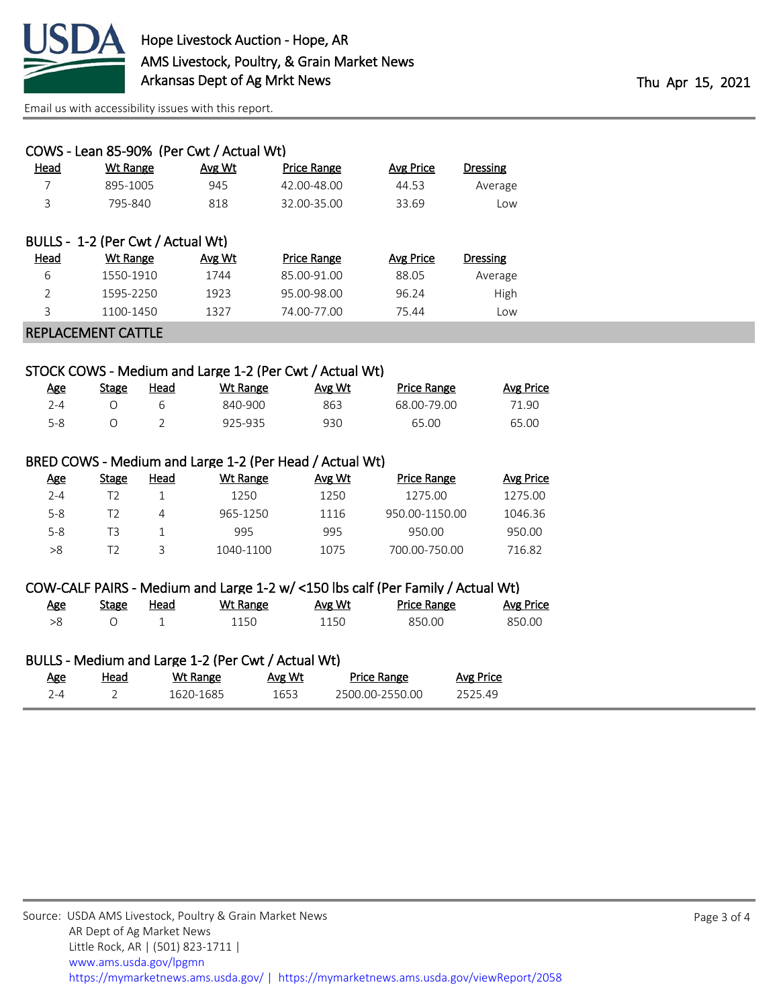

[Email us with accessibility issues with this report.](mailto:mars@ams.usda.gov?subject=508%20issue)

|                                                         | COWS - Lean 85-90% (Per Cwt / Actual Wt) |        |                    |                  |                 |  |
|---------------------------------------------------------|------------------------------------------|--------|--------------------|------------------|-----------------|--|
| <b>Head</b>                                             | <b>Wt Range</b>                          | Avg Wt | Price Range        | <b>Avg Price</b> | <b>Dressing</b> |  |
|                                                         | 895-1005                                 | 945    | 42.00-48.00        | 44.53            | Average         |  |
| 3                                                       | 795-840                                  | 818    | 32.00-35.00        | 33.69            | Low             |  |
|                                                         |                                          |        |                    |                  |                 |  |
|                                                         | BULLS - 1-2 (Per Cwt / Actual Wt)        |        |                    |                  |                 |  |
| <u>Head</u>                                             | <b>Wt Range</b>                          | Avg Wt | <b>Price Range</b> | <b>Avg Price</b> | <b>Dressing</b> |  |
| 6                                                       | 1550-1910                                | 1744   | 85.00-91.00        | 88.05            | Average         |  |
| $\overline{2}$                                          | 1595-2250                                | 1923   | 95.00-98.00        | 96.24            | High            |  |
| 3                                                       | 1100-1450                                | 1327   | 74.00-77.00        | 75.44            | Low             |  |
| <b>REPLACEMENT CATTLE</b>                               |                                          |        |                    |                  |                 |  |
|                                                         |                                          |        |                    |                  |                 |  |
| STOCK COWS - Medium and Large 1-2 (Per Cut / Actual Wt) |                                          |        |                    |                  |                 |  |

### IVIEQIUM and Large 1-2 (Per Cwt / Actual Wt)

| <u>Age</u> | Stage | Head | Wt Range | Avg Wt | <b>Price Range</b> | Avg Price |
|------------|-------|------|----------|--------|--------------------|-----------|
| 7-4        |       |      | 840-900  | 863    | 68.00-79.00        | 71.90     |
| $5-8$      |       |      | 925-935  | 930    | 65.00              | 65.00     |

## BRED COWS - Medium and Large 1-2 (Per Head / Actual Wt)

| <u>Age</u> | Stage | Head | Wt Range  | Avg Wt | <b>Price Range</b> | Avg Price |
|------------|-------|------|-----------|--------|--------------------|-----------|
| $2 - 4$    |       |      | 1250      | 1250   | 1275.00            | 1275.00   |
| $5 - 8$    |       | Δ    | 965-1250  | 1116   | 950.00-1150.00     | 1046.36   |
| $5 - 8$    | T3    |      | 995       | 995    | 950.00             | 950.00    |
| >8         |       | ₹    | 1040-1100 | 1075   | 700.00-750.00      | 716.82    |

### COW-CALF PAIRS - Medium and Large 1-2 w/ <150 lbs calf (Per Family / Actual Wt)

| <u>Age</u> | <b>Stage</b> | Head | Wt Range | Avg Wt | <b>Price Range</b> | <b>Avg Price</b> |
|------------|--------------|------|----------|--------|--------------------|------------------|
| >8         |              |      | 1150     | 1150   | 850.00             | 850.00           |

## BULLS - Medium and Large 1-2 (Per Cwt / Actual Wt)

| <u>Age</u> | <u>Head</u> | Wt Range  | Avg Wt | Price Range     | Avg Price |
|------------|-------------|-----------|--------|-----------------|-----------|
| $2 - 4$    |             | 1620-1685 | 1653   | 2500.00-2550.00 | 252549    |